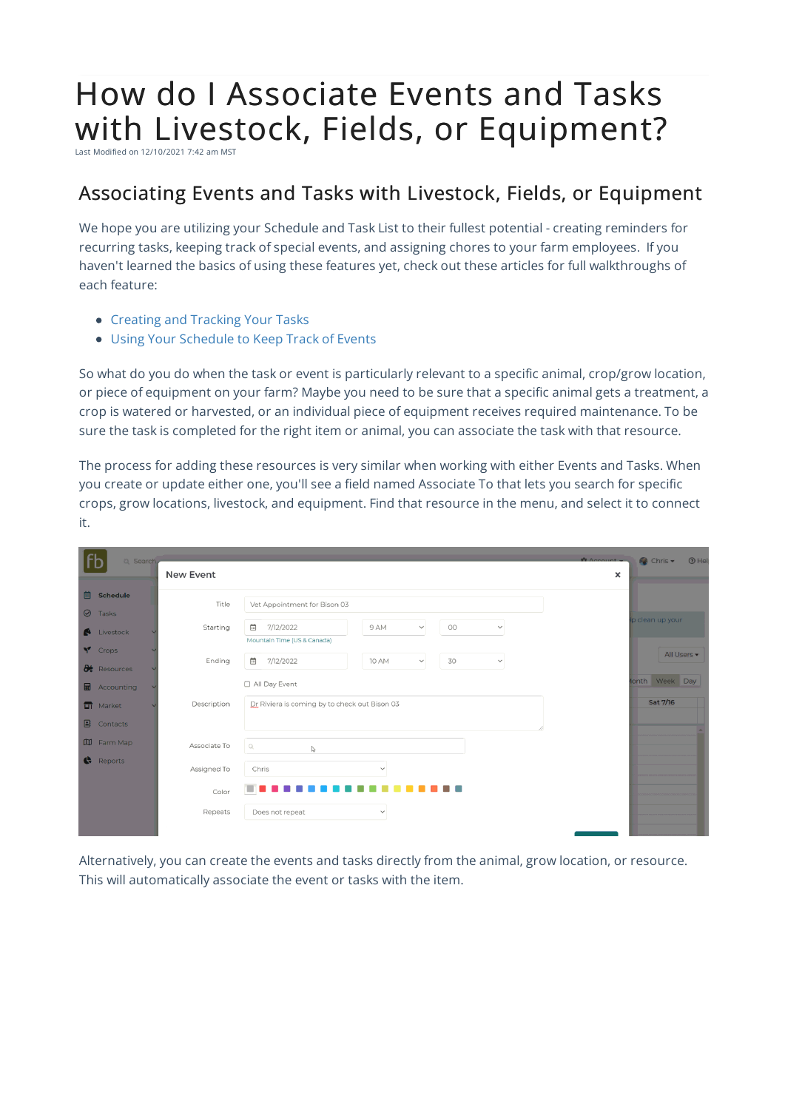## How do I Associate Events and Tasks with Livestock, Fields, or Equipment?

Last Modified on 12/10/2021 7:42 am MST

## Associating Events and Tasks with Livestock, Fields, or Equipment

We hope you are utilizing your Schedule and Task List to their fullest potential - creating reminders for recurring tasks, keeping track of special events, and assigning chores to your farm employees. If you haven't learned the basics of using these features yet, check out these articles for full walkthroughs of each feature:

- Creating and Tracking Your Tasks
- Using Your Schedule to Keep Track of Events

So what do you do when the task or event is particularly relevant to a specific animal, crop/grow location, or piece of equipment on your farm? Maybe you need to be sure that a specific animal gets a treatment, a crop is watered or harvested, or an individual piece of equipment receives required maintenance. To be sure the task is completed for the right item or animal, you can associate the task with that resource.

The process for adding these resources is very similar when working with either Events and Tasks. When you create or update either one, you'll see a field named Associate To that lets you search for specific crops, grow locations, livestock, and equipment. Find that resource in the menu, and select it to connect it.

|         | Q Search.            |  |                  |                                                                                                                 |  |  |  |  |
|---------|----------------------|--|------------------|-----------------------------------------------------------------------------------------------------------------|--|--|--|--|
|         |                      |  | <b>New Event</b> |                                                                                                                 |  |  |  |  |
| 茴       | Schedule             |  | Title            | Vet Appointment for Bison 03                                                                                    |  |  |  |  |
| $\odot$ | Tasks                |  |                  |                                                                                                                 |  |  |  |  |
|         | Livestock            |  | Starting         | $\mathbb{R}$<br>7/12/2022<br>$_{\rm OO}$<br>9 AM<br>$\checkmark$<br>$\checkmark$<br>Mountain Time (US & Canada) |  |  |  |  |
|         | Y Crops              |  |                  |                                                                                                                 |  |  |  |  |
|         | <b>d</b> : Resources |  | Ending           | $\mathop{^{\rm int}}\nolimits$<br>7/12/2022<br>30<br>10 AM<br>$\checkmark$<br>$\checkmark$                      |  |  |  |  |
|         | <b>H</b> Accounting  |  |                  | □ All Day Event                                                                                                 |  |  |  |  |
|         | <b>TT</b> Market     |  | Description      | Dr Riviera is coming by to check out Bison 03                                                                   |  |  |  |  |
|         | $\Box$ Contacts      |  |                  |                                                                                                                 |  |  |  |  |
|         | <b>ID</b> Farm Map   |  | Associate To     | $\mathcal{Q}_i$<br>$\mathbb{Q}$                                                                                 |  |  |  |  |
|         | Reports              |  |                  |                                                                                                                 |  |  |  |  |
|         |                      |  | Assigned To      | Chris<br>$\checkmark$                                                                                           |  |  |  |  |
|         |                      |  | Color            |                                                                                                                 |  |  |  |  |
|         |                      |  | Repeats          | Does not repeat<br>$\checkmark$                                                                                 |  |  |  |  |
|         |                      |  |                  |                                                                                                                 |  |  |  |  |

Alternatively, you can create the events and tasks directly from the animal, grow location, or resource. This will automatically associate the event or tasks with the item.